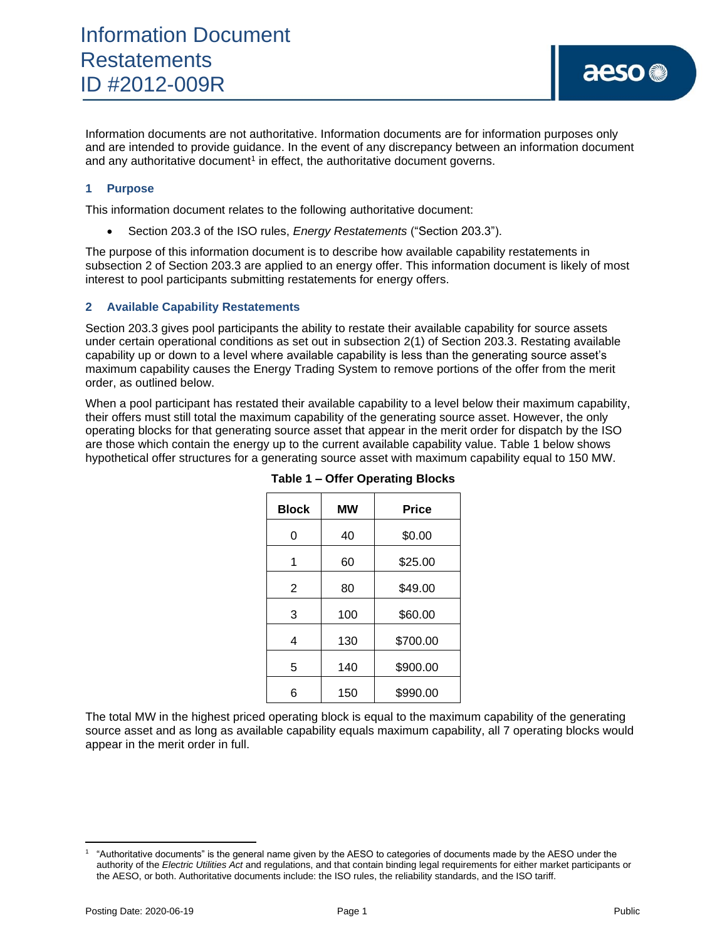Information documents are not authoritative. Information documents are for information purposes only and are intended to provide guidance. In the event of any discrepancy between an information document and any authoritative document<sup>1</sup> in effect, the authoritative document governs.

## **1 Purpose**

This information document relates to the following authoritative document:

• Section 203.3 of the ISO rules, *Energy Restatements* ("Section 203.3").

The purpose of this information document is to describe how available capability restatements in subsection 2 of Section 203.3 are applied to an energy offer. This information document is likely of most interest to pool participants submitting restatements for energy offers.

## **2 Available Capability Restatements**

Section 203.3 gives pool participants the ability to restate their available capability for source assets under certain operational conditions as set out in subsection 2(1) of Section 203.3. Restating available capability up or down to a level where available capability is less than the generating source asset's maximum capability causes the Energy Trading System to remove portions of the offer from the merit order, as outlined below.

When a pool participant has restated their available capability to a level below their maximum capability, their offers must still total the maximum capability of the generating source asset. However, the only operating blocks for that generating source asset that appear in the merit order for dispatch by the ISO are those which contain the energy up to the current available capability value. Table 1 below shows hypothetical offer structures for a generating source asset with maximum capability equal to 150 MW.

| <b>Block</b>   | МW  | <b>Price</b> |
|----------------|-----|--------------|
| 0              | 40  | \$0.00       |
| 1              | 60  | \$25.00      |
| $\overline{2}$ | 80  | \$49.00      |
| 3              | 100 | \$60.00      |
| 4              | 130 | \$700.00     |
| 5              | 140 | \$900.00     |
| 6              | 150 | \$990.00     |

**Table 1 – Offer Operating Blocks**

The total MW in the highest priced operating block is equal to the maximum capability of the generating source asset and as long as available capability equals maximum capability, all 7 operating blocks would appear in the merit order in full.

<sup>1</sup> "Authoritative documents" is the general name given by the AESO to categories of documents made by the AESO under the authority of the *Electric Utilities Act* and regulations, and that contain binding legal requirements for either market participants or the AESO, or both. Authoritative documents include: the ISO rules, the reliability standards, and the ISO tariff.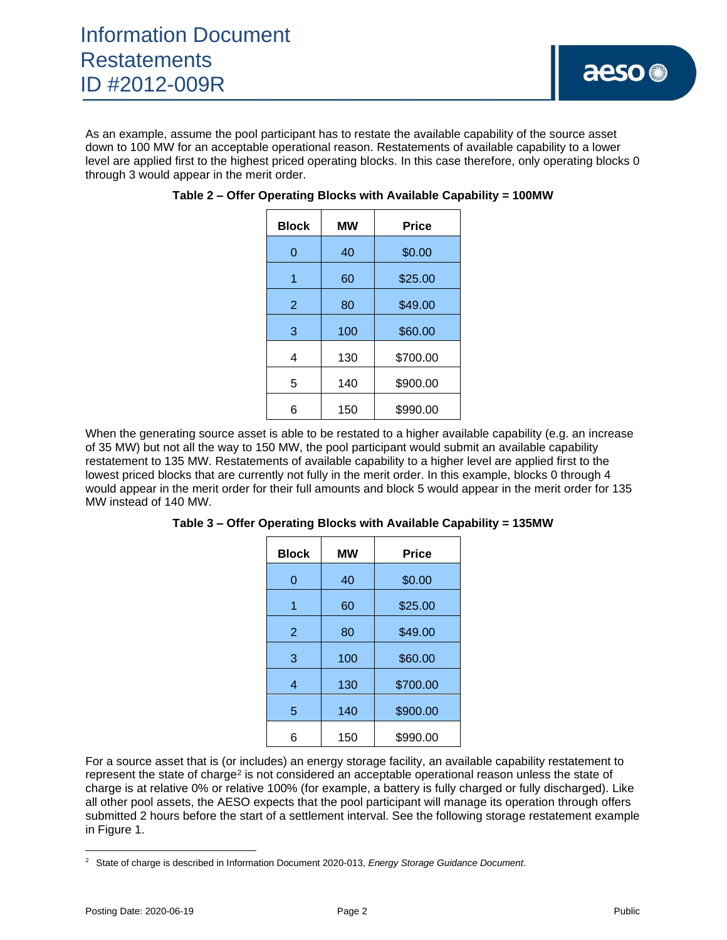As an example, assume the pool participant has to restate the available capability of the source asset down to 100 MW for an acceptable operational reason. Restatements of available capability to a lower level are applied first to the highest priced operating blocks. In this case therefore, only operating blocks 0 through 3 would appear in the merit order.

| <b>Block</b>   | МW  | <b>Price</b> |
|----------------|-----|--------------|
| 0              | 40  | \$0.00       |
| 1              | 60  | \$25.00      |
| $\overline{2}$ | 80  | \$49.00      |
| 3              | 100 | \$60.00      |
| 4              | 130 | \$700.00     |
| 5              | 140 | \$900.00     |
| 6              | 150 | \$990.00     |

**Table 2 – Offer Operating Blocks with Available Capability = 100MW**

When the generating source asset is able to be restated to a higher available capability (e.g. an increase of 35 MW) but not all the way to 150 MW, the pool participant would submit an available capability restatement to 135 MW. Restatements of available capability to a higher level are applied first to the lowest priced blocks that are currently not fully in the merit order. In this example, blocks 0 through 4 would appear in the merit order for their full amounts and block 5 would appear in the merit order for 135 MW instead of 140 MW.

| Table 3 - Offer Operating Blocks with Available Capability = 135MW |  |  |  |
|--------------------------------------------------------------------|--|--|--|
|                                                                    |  |  |  |

| <b>Block</b>   | <b>MW</b> | <b>Price</b> |
|----------------|-----------|--------------|
| 0              | 40        | \$0.00       |
| 1              | 60        | \$25.00      |
| $\overline{2}$ | 80        | \$49.00      |
| 3              | 100       | \$60.00      |
| 4              | 130       | \$700.00     |
| 5              | 140       | \$900.00     |
| 6              | 150       | \$990.00     |

For a source asset that is (or includes) an energy storage facility, an available capability restatement to represent the state of charge<sup>2</sup> is not considered an acceptable operational reason unless the state of charge is at relative 0% or relative 100% (for example, a battery is fully charged or fully discharged). Like all other pool assets, the AESO expects that the pool participant will manage its operation through offers submitted 2 hours before the start of a settlement interval. See the following storage restatement example in Figure 1.

<sup>2</sup> State of charge is described in Information Document 2020-013, *Energy Storage Guidance Document*.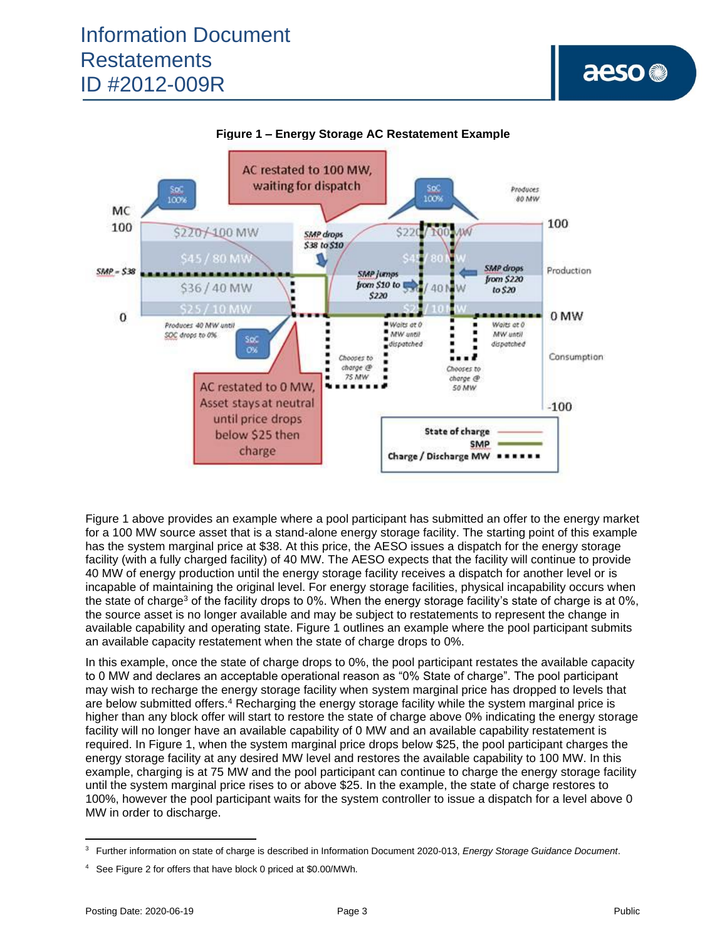



Figure 1 above provides an example where a pool participant has submitted an offer to the energy market for a 100 MW source asset that is a stand-alone energy storage facility. The starting point of this example has the system marginal price at \$38. At this price, the AESO issues a dispatch for the energy storage facility (with a fully charged facility) of 40 MW. The AESO expects that the facility will continue to provide 40 MW of energy production until the energy storage facility receives a dispatch for another level or is incapable of maintaining the original level. For energy storage facilities, physical incapability occurs when the state of charge<sup>3</sup> of the facility drops to 0%. When the energy storage facility's state of charge is at 0%, the source asset is no longer available and may be subject to restatements to represent the change in available capability and operating state. Figure 1 outlines an example where the pool participant submits an available capacity restatement when the state of charge drops to 0%.

In this example, once the state of charge drops to 0%, the pool participant restates the available capacity to 0 MW and declares an acceptable operational reason as "0% State of charge". The pool participant may wish to recharge the energy storage facility when system marginal price has dropped to levels that are below submitted offers.<sup>4</sup> Recharging the energy storage facility while the system marginal price is higher than any block offer will start to restore the state of charge above 0% indicating the energy storage facility will no longer have an available capability of 0 MW and an available capability restatement is required. In Figure 1, when the system marginal price drops below \$25, the pool participant charges the energy storage facility at any desired MW level and restores the available capability to 100 MW. In this example, charging is at 75 MW and the pool participant can continue to charge the energy storage facility until the system marginal price rises to or above \$25. In the example, the state of charge restores to 100%, however the pool participant waits for the system controller to issue a dispatch for a level above 0 MW in order to discharge.

aeso<sup>®</sup>

<sup>3</sup> Further information on state of charge is described in Information Document 2020-013, *Energy Storage Guidance Document*.

<sup>4</sup> See Figure 2 for offers that have block 0 priced at \$0.00/MWh.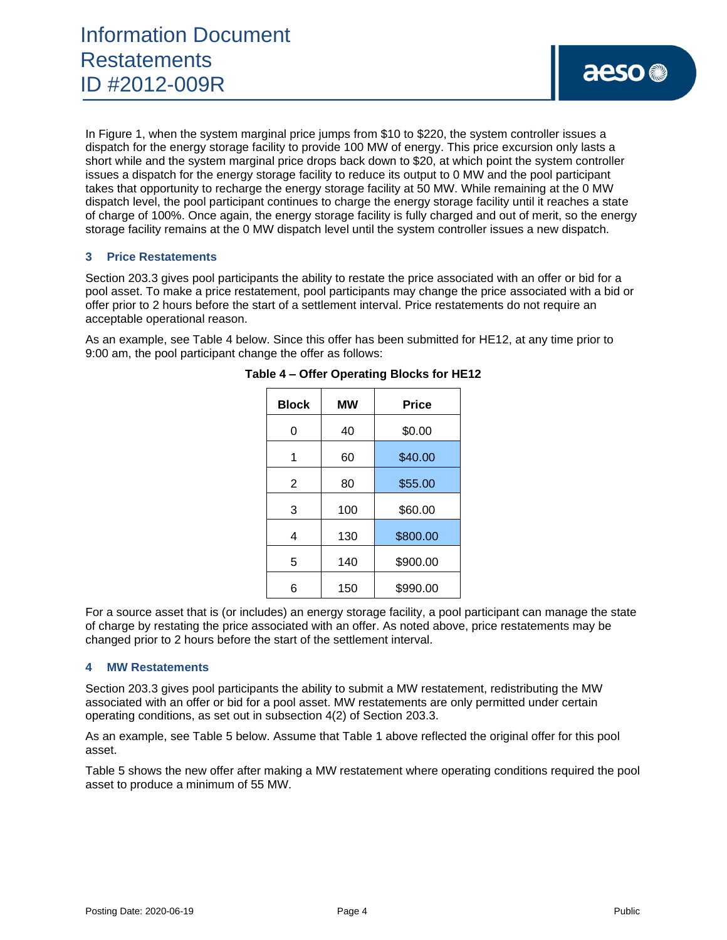In Figure 1, when the system marginal price jumps from \$10 to \$220, the system controller issues a dispatch for the energy storage facility to provide 100 MW of energy. This price excursion only lasts a short while and the system marginal price drops back down to \$20, at which point the system controller issues a dispatch for the energy storage facility to reduce its output to 0 MW and the pool participant takes that opportunity to recharge the energy storage facility at 50 MW. While remaining at the 0 MW dispatch level, the pool participant continues to charge the energy storage facility until it reaches a state of charge of 100%. Once again, the energy storage facility is fully charged and out of merit, so the energy storage facility remains at the 0 MW dispatch level until the system controller issues a new dispatch.

### **3 Price Restatements**

Section 203.3 gives pool participants the ability to restate the price associated with an offer or bid for a pool asset. To make a price restatement, pool participants may change the price associated with a bid or offer prior to 2 hours before the start of a settlement interval. Price restatements do not require an acceptable operational reason.

As an example, see Table 4 below. Since this offer has been submitted for HE12, at any time prior to 9:00 am, the pool participant change the offer as follows:

| <b>Block</b>   | <b>MW</b> | <b>Price</b> |
|----------------|-----------|--------------|
| 0              | 40        | \$0.00       |
|                | 60        | \$40.00      |
| $\overline{2}$ | 80        | \$55.00      |
| 3              | 100       | \$60.00      |
| 4              | 130       | \$800.00     |
| 5              | 140       | \$900.00     |
| 6              | 150       | \$990.00     |

#### **Table 4 – Offer Operating Blocks for HE12**

For a source asset that is (or includes) an energy storage facility, a pool participant can manage the state of charge by restating the price associated with an offer. As noted above, price restatements may be changed prior to 2 hours before the start of the settlement interval.

### **4 MW Restatements**

Section 203.3 gives pool participants the ability to submit a MW restatement, redistributing the MW associated with an offer or bid for a pool asset. MW restatements are only permitted under certain operating conditions, as set out in subsection 4(2) of Section 203.3.

As an example, see Table 5 below. Assume that Table 1 above reflected the original offer for this pool asset.

Table 5 shows the new offer after making a MW restatement where operating conditions required the pool asset to produce a minimum of 55 MW.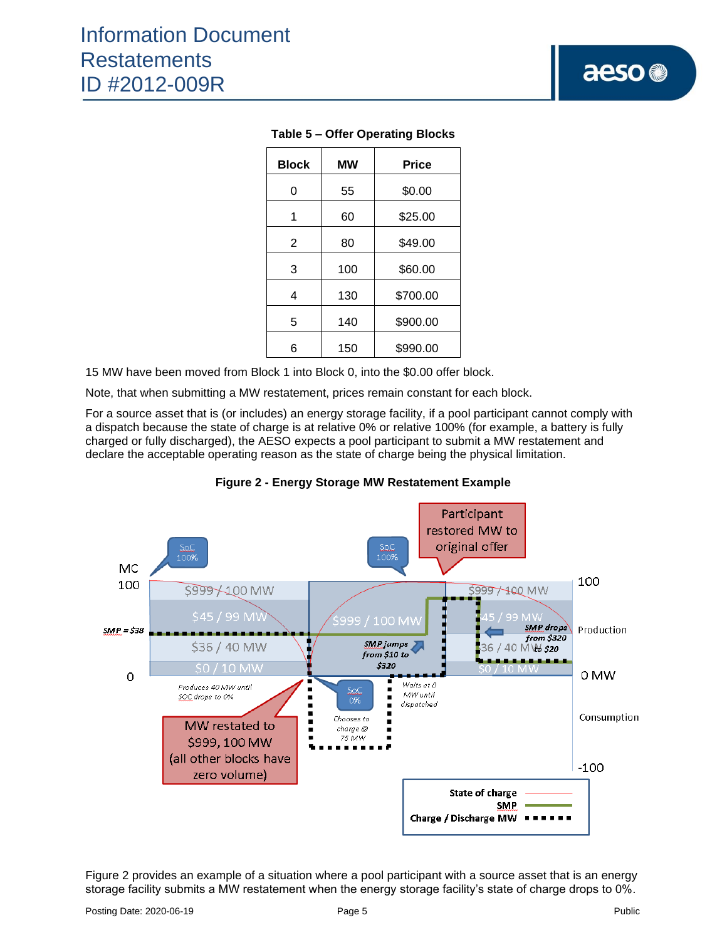| <b>Block</b>   | <b>MW</b> | <b>Price</b> |
|----------------|-----------|--------------|
| 0              | 55        | \$0.00       |
| 1              | 60        | \$25.00      |
| $\overline{2}$ | 80        | \$49.00      |
| 3              | 100       | \$60.00      |
| 4              | 130       | \$700.00     |
| 5              | 140       | \$900.00     |
| 6              | 150       | \$990.00     |

## **Table 5 – Offer Operating Blocks**

15 MW have been moved from Block 1 into Block 0, into the \$0.00 offer block.

Note, that when submitting a MW restatement, prices remain constant for each block.

For a source asset that is (or includes) an energy storage facility, if a pool participant cannot comply with a dispatch because the state of charge is at relative 0% or relative 100% (for example, a battery is fully charged or fully discharged), the AESO expects a pool participant to submit a MW restatement and declare the acceptable operating reason as the state of charge being the physical limitation.



**Figure 2 - Energy Storage MW Restatement Example**

Figure 2 provides an example of a situation where a pool participant with a source asset that is an energy storage facility submits a MW restatement when the energy storage facility's state of charge drops to 0%.